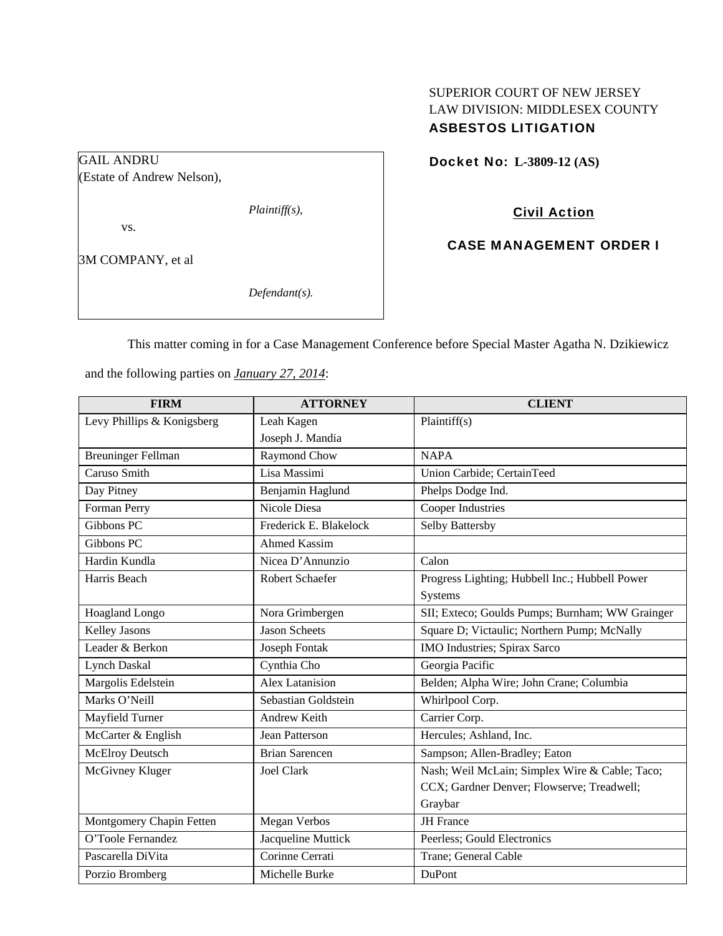## SUPERIOR COURT OF NEW JERSEY LAW DIVISION: MIDDLESEX COUNTY ASBESTOS LITIGATION

Docket No: **L-3809-12 (AS)** 

(Estate of Andrew Nelson),

*Plaintiff(s),* 

vs.

GAIL ANDRU

3M COMPANY, et al

*Defendant(s).* 

Civil Action

CASE MANAGEMENT ORDER I

This matter coming in for a Case Management Conference before Special Master Agatha N. Dzikiewicz

and the following parties on *January 27, 2014*:

| <b>FIRM</b>                | <b>ATTORNEY</b>        | <b>CLIENT</b>                                   |
|----------------------------|------------------------|-------------------------------------------------|
| Levy Phillips & Konigsberg | Leah Kagen             | Plaintiff(s)                                    |
|                            | Joseph J. Mandia       |                                                 |
| <b>Breuninger Fellman</b>  | Raymond Chow           | <b>NAPA</b>                                     |
| Caruso Smith               | Lisa Massimi           | Union Carbide; CertainTeed                      |
| Day Pitney                 | Benjamin Haglund       | Phelps Dodge Ind.                               |
| Forman Perry               | Nicole Diesa           | Cooper Industries                               |
| Gibbons PC                 | Frederick E. Blakelock | Selby Battersby                                 |
| Gibbons PC                 | <b>Ahmed Kassim</b>    |                                                 |
| Hardin Kundla              | Nicea D'Annunzio       | Calon                                           |
| Harris Beach               | <b>Robert Schaefer</b> | Progress Lighting; Hubbell Inc.; Hubbell Power  |
|                            |                        | Systems                                         |
| Hoagland Longo             | Nora Grimbergen        | SII; Exteco; Goulds Pumps; Burnham; WW Grainger |
| <b>Kelley Jasons</b>       | <b>Jason Scheets</b>   | Square D; Victaulic; Northern Pump; McNally     |
| Leader & Berkon            | Joseph Fontak          | IMO Industries; Spirax Sarco                    |
| <b>Lynch Daskal</b>        | Cynthia Cho            | Georgia Pacific                                 |
| Margolis Edelstein         | <b>Alex Latanision</b> | Belden; Alpha Wire; John Crane; Columbia        |
| Marks O'Neill              | Sebastian Goldstein    | Whirlpool Corp.                                 |
| Mayfield Turner            | <b>Andrew Keith</b>    | Carrier Corp.                                   |
| McCarter & English         | <b>Jean Patterson</b>  | Hercules; Ashland, Inc.                         |
| <b>McElroy Deutsch</b>     | <b>Brian Sarencen</b>  | Sampson; Allen-Bradley; Eaton                   |
| McGivney Kluger            | <b>Joel Clark</b>      | Nash; Weil McLain; Simplex Wire & Cable; Taco;  |
|                            |                        | CCX; Gardner Denver; Flowserve; Treadwell;      |
|                            |                        | Graybar                                         |
| Montgomery Chapin Fetten   | <b>Megan Verbos</b>    | <b>JH</b> France                                |
| O'Toole Fernandez          | Jacqueline Muttick     | Peerless; Gould Electronics                     |
| Pascarella DiVita          | Corinne Cerrati        | Trane; General Cable                            |
| Porzio Bromberg            | Michelle Burke         | DuPont                                          |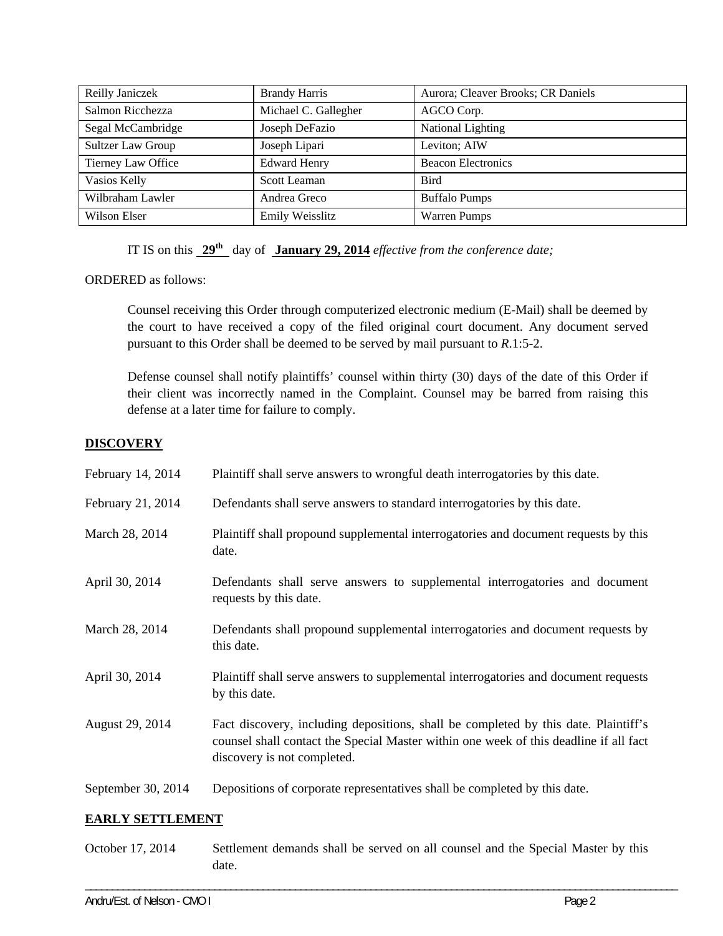| Reilly Janiczek    | <b>Brandy Harris</b> | Aurora; Cleaver Brooks; CR Daniels |
|--------------------|----------------------|------------------------------------|
| Salmon Ricchezza   | Michael C. Gallegher | AGCO Corp.                         |
| Segal McCambridge  | Joseph DeFazio       | National Lighting                  |
| Sultzer Law Group  | Joseph Lipari        | Leviton; AIW                       |
| Tierney Law Office | <b>Edward Henry</b>  | <b>Beacon Electronics</b>          |
| Vasios Kelly       | Scott Leaman         | <b>Bird</b>                        |
| Wilbraham Lawler   | Andrea Greco         | <b>Buffalo Pumps</b>               |
| Wilson Elser       | Emily Weisslitz      | <b>Warren Pumps</b>                |

IT IS on this **29th** day of **January 29, 2014** *effective from the conference date;*

ORDERED as follows:

Counsel receiving this Order through computerized electronic medium (E-Mail) shall be deemed by the court to have received a copy of the filed original court document. Any document served pursuant to this Order shall be deemed to be served by mail pursuant to *R*.1:5-2.

Defense counsel shall notify plaintiffs' counsel within thirty (30) days of the date of this Order if their client was incorrectly named in the Complaint. Counsel may be barred from raising this defense at a later time for failure to comply.

## **DISCOVERY**

| February 14, 2014  | Plaintiff shall serve answers to wrongful death interrogatories by this date.                                                                                                                               |
|--------------------|-------------------------------------------------------------------------------------------------------------------------------------------------------------------------------------------------------------|
| February 21, 2014  | Defendants shall serve answers to standard interrogatories by this date.                                                                                                                                    |
| March 28, 2014     | Plaintiff shall propound supplemental interrogatories and document requests by this<br>date.                                                                                                                |
| April 30, 2014     | Defendants shall serve answers to supplemental interrogatories and document<br>requests by this date.                                                                                                       |
| March 28, 2014     | Defendants shall propound supplemental interrogatories and document requests by<br>this date.                                                                                                               |
| April 30, 2014     | Plaintiff shall serve answers to supplemental interrogatories and document requests<br>by this date.                                                                                                        |
| August 29, 2014    | Fact discovery, including depositions, shall be completed by this date. Plaintiff's<br>counsel shall contact the Special Master within one week of this deadline if all fact<br>discovery is not completed. |
| September 30, 2014 | Depositions of corporate representatives shall be completed by this date.                                                                                                                                   |

#### **EARLY SETTLEMENT**

October 17, 2014 Settlement demands shall be served on all counsel and the Special Master by this date.

\_\_\_\_\_\_\_\_\_\_\_\_\_\_\_\_\_\_\_\_\_\_\_\_\_\_\_\_\_\_\_\_\_\_\_\_\_\_\_\_\_\_\_\_\_\_\_\_\_\_\_\_\_\_\_\_\_\_\_\_\_\_\_\_\_\_\_\_\_\_\_\_\_\_\_\_\_\_\_\_\_\_\_\_\_\_\_\_\_\_\_\_\_\_\_\_\_\_\_\_\_\_\_\_\_\_\_\_\_\_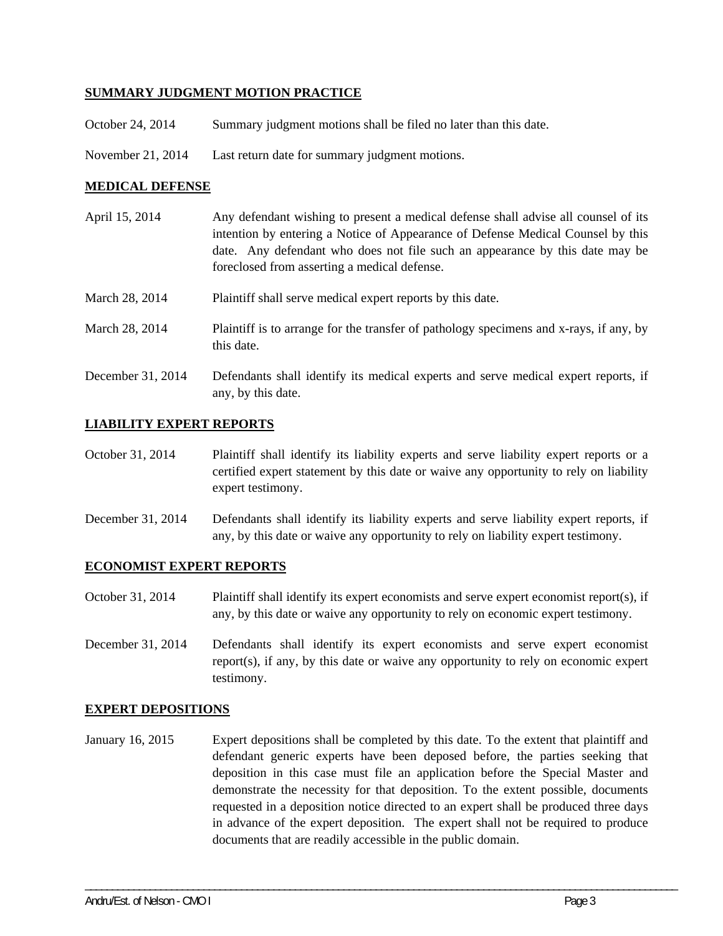## **SUMMARY JUDGMENT MOTION PRACTICE**

- October 24, 2014 Summary judgment motions shall be filed no later than this date.
- November 21, 2014 Last return date for summary judgment motions.

## **MEDICAL DEFENSE**

| April 15, 2014 | Any defendant wishing to present a medical defense shall advise all counsel of its<br>intention by entering a Notice of Appearance of Defense Medical Counsel by this<br>date. Any defendant who does not file such an appearance by this date may be<br>foreclosed from asserting a medical defense. |
|----------------|-------------------------------------------------------------------------------------------------------------------------------------------------------------------------------------------------------------------------------------------------------------------------------------------------------|
| March 28, 2014 | Plaintiff shall serve medical expert reports by this date.                                                                                                                                                                                                                                            |
| March 28, 2014 | Plaintiff is to arrange for the transfer of pathology specimens and x-rays, if any, by<br>this date.                                                                                                                                                                                                  |
|                | $\mathbf{D}$ , $\mathbf{f}$ , and all set $\mathbf{f}$ , and $\mathbf{f}$ , and the set of the set of the set of the set of the set of $\mathbf{f}$                                                                                                                                                   |

December 31, 2014 Defendants shall identify its medical experts and serve medical expert reports, if any, by this date.

## **LIABILITY EXPERT REPORTS**

- October 31, 2014 Plaintiff shall identify its liability experts and serve liability expert reports or a certified expert statement by this date or waive any opportunity to rely on liability expert testimony.
- December 31, 2014 Defendants shall identify its liability experts and serve liability expert reports, if any, by this date or waive any opportunity to rely on liability expert testimony.

#### **ECONOMIST EXPERT REPORTS**

- October 31, 2014 Plaintiff shall identify its expert economists and serve expert economist report(s), if any, by this date or waive any opportunity to rely on economic expert testimony.
- December 31, 2014 Defendants shall identify its expert economists and serve expert economist report(s), if any, by this date or waive any opportunity to rely on economic expert testimony.

#### **EXPERT DEPOSITIONS**

January 16, 2015 Expert depositions shall be completed by this date. To the extent that plaintiff and defendant generic experts have been deposed before, the parties seeking that deposition in this case must file an application before the Special Master and demonstrate the necessity for that deposition. To the extent possible, documents requested in a deposition notice directed to an expert shall be produced three days in advance of the expert deposition. The expert shall not be required to produce documents that are readily accessible in the public domain.

\_\_\_\_\_\_\_\_\_\_\_\_\_\_\_\_\_\_\_\_\_\_\_\_\_\_\_\_\_\_\_\_\_\_\_\_\_\_\_\_\_\_\_\_\_\_\_\_\_\_\_\_\_\_\_\_\_\_\_\_\_\_\_\_\_\_\_\_\_\_\_\_\_\_\_\_\_\_\_\_\_\_\_\_\_\_\_\_\_\_\_\_\_\_\_\_\_\_\_\_\_\_\_\_\_\_\_\_\_\_